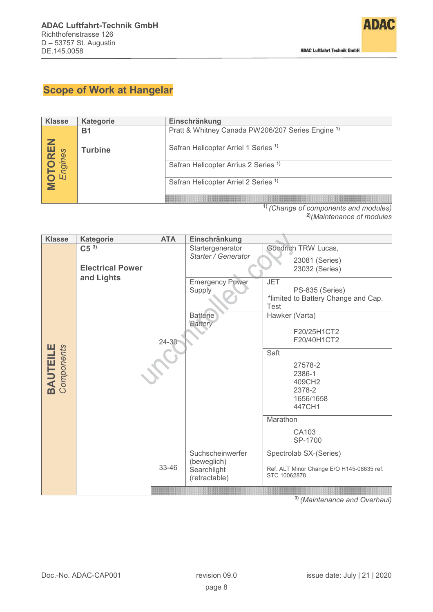

# **Scope of Work at Hangelar**

| <b>Klasse</b>        | <b>Kategorie</b> | Einschränkung                                                |
|----------------------|------------------|--------------------------------------------------------------|
|                      | Β1               | Pratt & Whitney Canada PW206/207 Series Engine <sup>1)</sup> |
|                      |                  |                                                              |
|                      | <b>Turbine</b>   | Safran Helicopter Arriel 1 Series <sup>1)</sup>              |
| <b>DTOF</b><br>Engin |                  | Safran Helicopter Arrius 2 Series <sup>1)</sup>              |
|                      |                  | Safran Helicopter Arriel 2 Series <sup>1)</sup>              |
|                      |                  |                                                              |
|                      |                  | <sup>1)</sup> (Change of components and modules)             |

**2)***(Maintenance of modules*

| <b>Klasse</b>                 | <b>Kategorie</b>                                  | <b>ATA</b> | Einschränkung                                                                                                    |                                                                                                                                                                                                                                                                                                                    |
|-------------------------------|---------------------------------------------------|------------|------------------------------------------------------------------------------------------------------------------|--------------------------------------------------------------------------------------------------------------------------------------------------------------------------------------------------------------------------------------------------------------------------------------------------------------------|
| <b>BAUTEILE</b><br>Components | $C5^{3}$<br><b>Electrical Power</b><br>and Lights | $24 - 30$  | Startergenerator<br>Starter / Generator<br><b>Emergency Power</b><br>Supply<br><b>Batterie</b><br><b>Battery</b> | Goodrich TRW Lucas,<br>23081 (Series)<br>23032 (Series)<br><b>JET</b><br>PS-835 (Series)<br>*limited to Battery Change and Cap.<br><b>Test</b><br>Hawker (Varta)<br>F20/25H1CT2<br>F20/40H1CT2<br>Saft<br>27578-2<br>2386-1<br>409CH <sub>2</sub><br>2378-2<br>1656/1658<br>447CH1<br>Marathon<br>CA103<br>SP-1700 |
|                               |                                                   | 33-46      | Suchscheinwerfer<br>(beweglich)<br>Searchlight<br>(retractable)                                                  | Spectrolab SX-(Series)<br>Ref. ALT Minor Change E/O H145-08635 ref.<br>STC 10062878                                                                                                                                                                                                                                |
|                               |                                                   |            |                                                                                                                  |                                                                                                                                                                                                                                                                                                                    |

**3)** *(Maintenance and Overhaul)*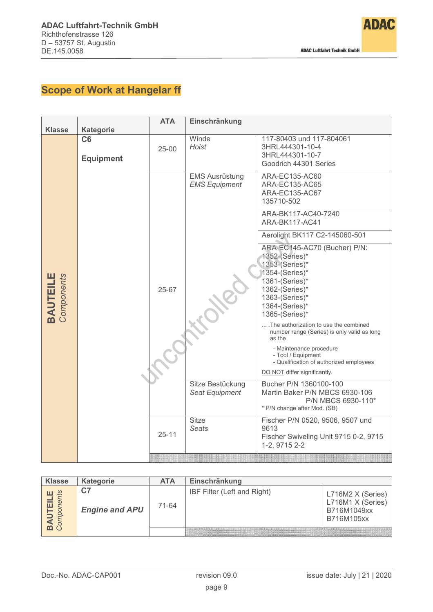

# **Scope of Work at Hangelar ff**

|                               |                                            | <b>ATA</b> | Einschränkung                                 |                                                                                                                                                                                                                                                                                                            |
|-------------------------------|--------------------------------------------|------------|-----------------------------------------------|------------------------------------------------------------------------------------------------------------------------------------------------------------------------------------------------------------------------------------------------------------------------------------------------------------|
| <b>Klasse</b>                 | <b>Kategorie</b><br>C6<br><b>Equipment</b> | $25 - 00$  | Winde<br><b>Hoist</b>                         | 117-80403 und 117-804061<br>3HRL444301-10-4<br>3HRL444301-10-7<br>Goodrich 44301 Series                                                                                                                                                                                                                    |
|                               |                                            |            | <b>EMS Ausrüstung</b><br><b>EMS Equipment</b> | ARA-EC135-AC60<br>ARA-EC135-AC65<br>ARA-EC135-AC67<br>135710-502                                                                                                                                                                                                                                           |
|                               |                                            |            |                                               | ARA-BK117-AC40-7240<br><b>ARA-BK117-AC41</b>                                                                                                                                                                                                                                                               |
|                               |                                            |            |                                               | Aerolight BK117 C2-145060-501                                                                                                                                                                                                                                                                              |
| <b>BAUTEILE</b><br>Components |                                            | 25-67      |                                               | ARA-EC145-AC70 (Bucher) P/N:<br>1352-(Series)*<br>1353-(Series)*<br>1354-(Series)*<br>1361-(Series)*<br>1362-(Series)*<br>1363-(Series)*<br>1364-(Series)*<br>1365-(Series)*<br>.The authorization to use the combined<br>number range (Series) is only valid as long<br>as the<br>- Maintenance procedure |
|                               |                                            |            |                                               | - Tool / Equipment<br>- Qualification of authorized employees                                                                                                                                                                                                                                              |
|                               |                                            |            |                                               | DO NOT differ significantly.                                                                                                                                                                                                                                                                               |
|                               |                                            |            | Sitze Bestückung<br>Seat Equipment            | Bucher P/N 1360100-100<br>Martin Baker P/N MBCS 6930-106<br>P/N MBCS 6930-110*<br>* P/N change after Mod. (SB)                                                                                                                                                                                             |
|                               |                                            | $25 - 11$  | <b>Sitze</b><br><b>Seats</b>                  | Fischer P/N 0520, 9506, 9507 und<br>9613<br>Fischer Swiveling Unit 9715 0-2, 9715<br>1-2, 9715 2-2                                                                                                                                                                                                         |
|                               |                                            |            |                                               |                                                                                                                                                                                                                                                                                                            |

| <b>Klasse</b> | <b>Kategorie</b>      | <b>ATA</b> | Einschränkung               |                                                                     |
|---------------|-----------------------|------------|-----------------------------|---------------------------------------------------------------------|
| 일 (           | <b>Engine and APU</b> | 71-64      | IBF Filter (Left and Right) | L716M2 X (Series)<br>L716M1 X (Series)<br>B716M1049xx<br>B716M105xx |
|               |                       |            |                             |                                                                     |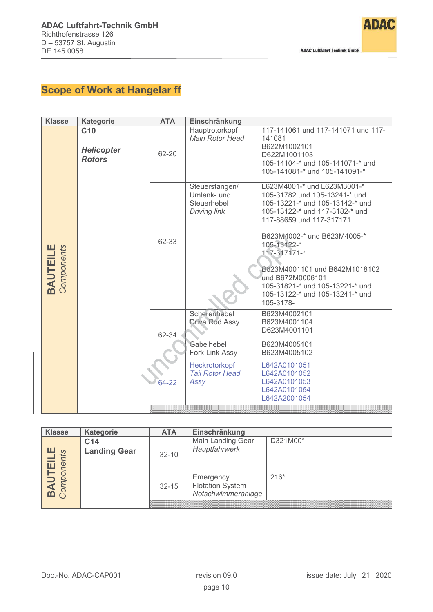

# **Scope of Work at Hangelar ff**

| <b>Klasse</b>                 | <b>Kategorie</b>                                      | <b>ATA</b>     | Einschränkung                                                                                                            |                                                                                                                                                                                                                                                                                                                                                                     |
|-------------------------------|-------------------------------------------------------|----------------|--------------------------------------------------------------------------------------------------------------------------|---------------------------------------------------------------------------------------------------------------------------------------------------------------------------------------------------------------------------------------------------------------------------------------------------------------------------------------------------------------------|
|                               | C <sub>10</sub><br><b>Helicopter</b><br><b>Rotors</b> | 62-20          | Hauptrotorkopf<br><b>Main Rotor Head</b>                                                                                 | 117-141061 und 117-141071 und 117-<br>141081<br>B622M1002101<br>D622M1001103<br>105-14104-* und 105-141071-* und<br>105-141081-* und 105-141091-*                                                                                                                                                                                                                   |
| <b>BAUTEILE</b><br>Components |                                                       | 62-33          | Steuerstangen/<br>Umlenk- und<br>Steuerhebel<br>Driving link                                                             | L623M4001-* und L623M3001-*<br>105-31782 und 105-13241-* und<br>105-13221-* und 105-13142-* und<br>105-13122-* und 117-3182-* und<br>117-88659 und 117-317171<br>B623M4002-* und B623M4005-*<br>105-13122-*<br>117-317171-*<br>B623M4001101 und B642M1018102<br>und B672M0006101<br>105-31821-* und 105-13221-* und<br>105-13122-* und 105-13241-* und<br>105-3178- |
|                               |                                                       | 62-34<br>64-22 | Scherenhebel<br><b>Drive Rod Assy</b><br>Gabelhebel<br>Fork Link Assy<br>Heckrotorkopf<br><b>Tail Rotor Head</b><br>Assy | B623M4002101<br>B623M4001104<br>D623M4001101<br>B623M4005101<br>B623M4005102<br>L642A0101051<br>L642A0101052<br>L642A0101053<br>L642A0101054<br>L642A2001054                                                                                                                                                                                                        |

| <b>Klasse</b>       | <b>Kategorie</b>                       | <b>ATA</b> | Einschränkung                                              |          |
|---------------------|----------------------------------------|------------|------------------------------------------------------------|----------|
| $\mathcal{O}$<br>コだ | C <sub>14</sub><br><b>Landing Gear</b> | $32 - 10$  | Main Landing Gear<br>Hauptfahrwerk                         | D321M00* |
|                     |                                        | $32 - 15$  | Emergency<br><b>Flotation System</b><br>Notschwimmeranlage | $216*$   |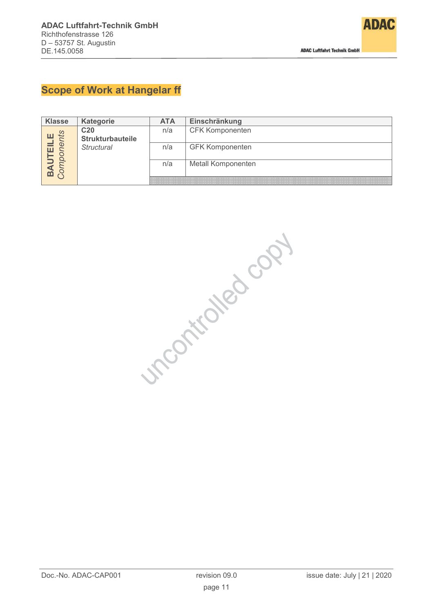

### **Scope of Work at Hangelar ff**

| <b>Klasse</b> | <b>Kategorie</b>        | <b>ATA</b> | Einschränkung          |
|---------------|-------------------------|------------|------------------------|
|               | C <sub>20</sub>         | n/a        | <b>CFK Komponenten</b> |
| 7ť<br>ò       | <b>Strukturbauteile</b> |            |                        |
|               | <b>Structural</b>       | n/a        | <b>GFK Komponenten</b> |
|               |                         |            |                        |
|               |                         | n/a        | Metall Komponenten     |
|               |                         |            |                        |
|               |                         |            |                        |

incortioned copy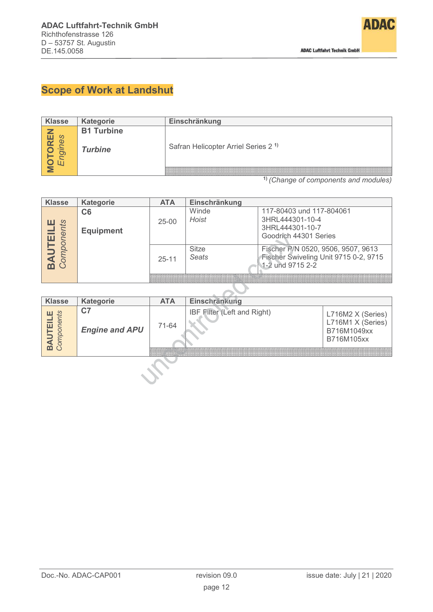

# **Scope of Work at Landshut**

| <b>Klasse</b>  | <b>Kategorie</b>  | Einschränkung                                   |
|----------------|-------------------|-------------------------------------------------|
| ш<br><u> ဟ</u> | <b>B1 Turbine</b> | Safran Helicopter Arriel Series 2 <sup>1)</sup> |
|                | <b>Turbine</b>    |                                                 |

**1)** *(Change of components and modules)*

| <b>Klasse</b>       | <b>Kategorie</b>       | <b>ATA</b> | Einschränkung                |                                                                                                   |
|---------------------|------------------------|------------|------------------------------|---------------------------------------------------------------------------------------------------|
| <b>ILLE</b><br>ents | C6<br><b>Equipment</b> | $25 - 00$  | Winde<br>Hoist               | 117-80403 und 117-804061<br>3HRL444301-10-4<br>3HRL444301-10-7<br>Goodrich 44301 Series           |
|                     |                        | $25 - 11$  | <b>Sitze</b><br><b>Seats</b> | Fischer P/N 0520, 9506, 9507, 9613<br>Fischer Swiveling Unit 9715 0-2, 9715<br>1-2 und $9715$ 2-2 |

| <b>Klasse</b>  | Kategorie                   | <b>ATA</b> | Einschränkung               |                                                                     |
|----------------|-----------------------------|------------|-----------------------------|---------------------------------------------------------------------|
| $\mathfrak{L}$ | C7<br><b>Engine and APU</b> | 71-64      | IBF Filter (Left and Right) | L716M2 X (Series)<br>L716M1 X (Series)<br>B716M1049xx<br>B716M105xx |
|                |                             |            |                             |                                                                     |
|                |                             |            |                             |                                                                     |

╲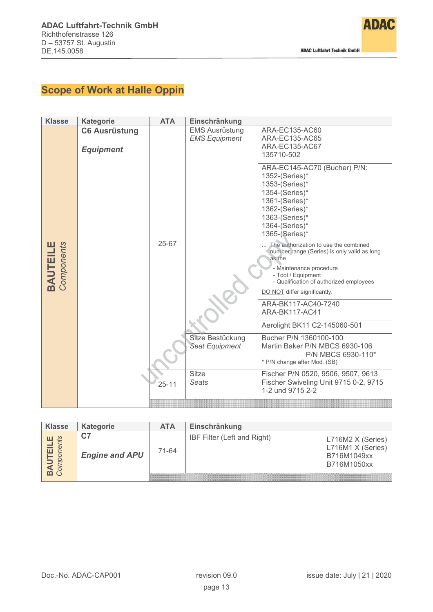

# **Scope of Work at Halle Oppin**

| <b>Klasse</b>                 | <b>Kategorie</b>                         | <b>ATA</b> | Einschränkung                                 |                                                                                                                                                                                                                                                                                                                                                                                                                                    |
|-------------------------------|------------------------------------------|------------|-----------------------------------------------|------------------------------------------------------------------------------------------------------------------------------------------------------------------------------------------------------------------------------------------------------------------------------------------------------------------------------------------------------------------------------------------------------------------------------------|
|                               | <b>C6 Ausrüstung</b><br><b>Equipment</b> |            | <b>EMS Ausrüstung</b><br><b>EMS Equipment</b> | ARA-EC135-AC60<br>ARA-EC135-AC65<br>ARA-EC135-AC67<br>135710-502                                                                                                                                                                                                                                                                                                                                                                   |
| <b>BAUTEILE</b><br>Components |                                          | 25-67      |                                               | ARA-EC145-AC70 (Bucher) P/N:<br>1352-(Series)*<br>1353-(Series)*<br>1354-(Series)*<br>1361-(Series)*<br>1362-(Series)*<br>1363-(Series)*<br>1364-(Series)*<br>1365-(Series)*<br>.The authorization to use the combined<br>number range (Series) is only valid as long<br>as the<br>- Maintenance procedure<br>- Tool / Equipment<br>- Qualification of authorized employees<br>DO NOT differ significantly.<br>ARA-BK117-AC40-7240 |
|                               |                                          |            |                                               | <b>ARA-BK117-AC41</b>                                                                                                                                                                                                                                                                                                                                                                                                              |
|                               |                                          |            |                                               | Aerolight BK11 C2-145060-501                                                                                                                                                                                                                                                                                                                                                                                                       |
|                               |                                          |            | Sitze Bestückung<br><b>Seat Equipment</b>     | Bucher P/N 1360100-100<br>Martin Baker P/N MBCS 6930-106<br>P/N MBCS 6930-110*<br>* P/N change after Mod. (SB)                                                                                                                                                                                                                                                                                                                     |
|                               |                                          | $25 - 11$  | Sitze<br><b>Seats</b>                         | Fischer P/N 0520, 9506, 9507, 9613<br>Fischer Swiveling Unit 9715 0-2, 9715<br>1-2 und 9715 2-2                                                                                                                                                                                                                                                                                                                                    |
|                               |                                          |            |                                               |                                                                                                                                                                                                                                                                                                                                                                                                                                    |

| <b>Klasse</b> | <b>Kategorie</b>             | <b>ATA</b> | Einschränkung               |                                                                      |
|---------------|------------------------------|------------|-----------------------------|----------------------------------------------------------------------|
| л т           | ، ب<br><b>Engine and APU</b> | 71-64      | IBF Filter (Left and Right) | L716M2 X (Series)<br>L716M1 X (Series)<br>B716M1049xx<br>B716M1050xx |
|               |                              |            |                             |                                                                      |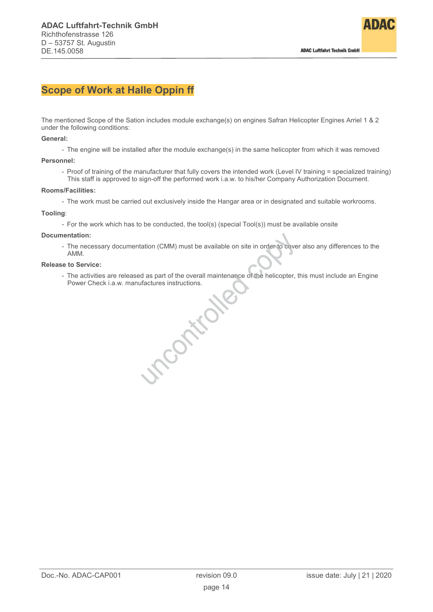

### **Scope of Work at Halle Oppin ff**

The mentioned Scope of the Sation includes module exchange(s) on engines Safran Helicopter Engines Arriel 1 & 2 under the following conditions:

### **General:**

- The engine will be installed after the module exchange(s) in the same helicopter from which it was removed

### **Personnel:**

- Proof of training of the manufacturer that fully covers the intended work (Level IV training = specialized training) This staff is approved to sign-off the performed work i.a.w. to his/her Company Authorization Document.

### **Rooms/Facilities:**

- The work must be carried out exclusively inside the Hangar area or in designated and suitable workrooms.

#### **Tooling**:

- For the work which has to be conducted, the tool(s) (special Tool(s)) must be available onsite

### **Documentation:**

- The necessary documentation (CMM) must be available on site in order to cover also any differences to the AMM.

#### **Release to Service:**

- The activities are released as part of the overall maintenance of the helicopter, this must include an Engine<br>Power Check i.a.w. manufactures instructions. Power Check i.a.w. manufactures instructions.